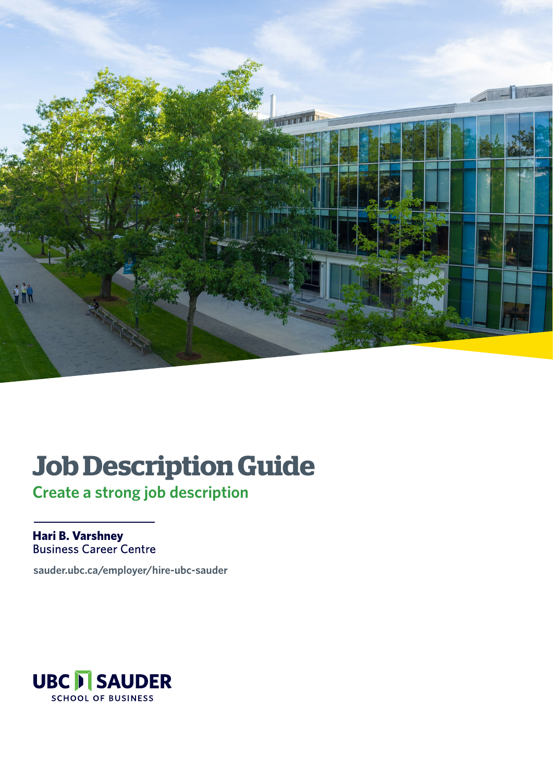

## **Job Description Guide**

**Create a strong job description**

Hari B. Varshney **Business Career Centre** 

**[sauder.ubc.ca/employer/hire-ubc-sauder](https://www.sauder.ubc.ca/employer/hire-ubc-sauder)**

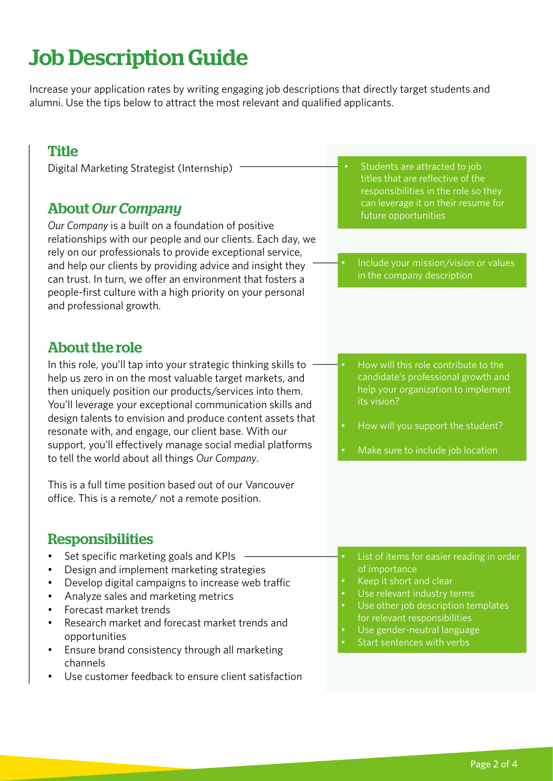### Job Description Guide

Increase your application rates by writing engaging job descriptions that directly target students and alumni. Use the tips below to attract the most relevant and qualified applicants.

#### **Title**

Digital Marketing Strategist (Internship)

#### About *Our Company*

*Our Company* is a built on a foundation of positive relationships with our people and our clients. Each day, we rely on our professionals to provide exceptional service, and help our clients by providing advice and insight they can trust. In turn, we offer an environment that fosters a people-first culture with a high priority on your personal and professional growth.

#### About the role

In this role, you'll tap into your strategic thinking skills to help us zero in on the most valuable target markets, and then uniquely position our products/services into them. You'll leverage your exceptional communication skills and design talents to envision and produce content assets that resonate with, and engage, our client base. With our support, you'll effectively manage social medial platforms to tell the world about all things *Our Company*.

This is a full time position based out of our Vancouver office. This is a remote/ not a remote position.

#### Responsibilities

- Set specific marketing goals and KPIs
- Design and implement marketing strategies
- Develop digital campaigns to increase web traffic
- Analyze sales and marketing metrics
- Forecast market trends
- Research market and forecast market trends and opportunities
- Ensure brand consistency through all marketing channels
- Use customer feedback to ensure client satisfaction
- Students are attracted to job titles that are reflective of the responsibilities in the role so they can leverage it on their resume for future opportunities
- Include your mission/vision or values in the company description
- How will this role contribute to the candidate's professional growth and help your organization to implement its vision?
- How will you support the student?
- Make sure to include job location

- List of items for easier reading in order of importance
- Keep it short and clear
- Use relevant industry terms
- Use other job description templates for relevant responsibilities
- Use gender-neutral language
- Start sentences with verbs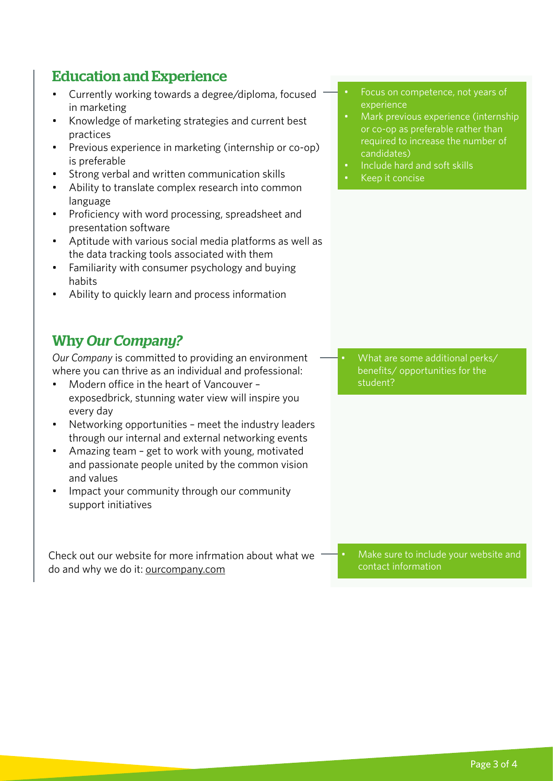#### Education and Experience

- Currently working towards a degree/diploma, focused in marketing
- Knowledge of marketing strategies and current best practices
- Previous experience in marketing (internship or co-op) is preferable
- Strong verbal and written communication skills
- Ability to translate complex research into common language
- Proficiency with word processing, spreadsheet and presentation software
- Aptitude with various social media platforms as well as the data tracking tools associated with them
- Familiarity with consumer psychology and buying habits
- Ability to quickly learn and process information

#### Why *Our Company?*

*Our Company* is committed to providing an environment where you can thrive as an individual and professional:

- Modern office in the heart of Vancouver exposedbrick, stunning water view will inspire you every day
- Networking opportunities meet the industry leaders through our internal and external networking events
- Amazing team get to work with young, motivated and passionate people united by the common vision and values
- Impact your community through our community support initiatives

Check out our website for more infrmation about what we do and why we do it: ourcompany.com

- Focus on competence, not years of experience
- Mark previous experience (internship or co-op as preferable rather than required to increase the number of candidates)
- Include hard and soft skills
- Keep it concise

• What are some additional perks/ benefits/ opportunities for the student?

• Make sure to include your website and contact information